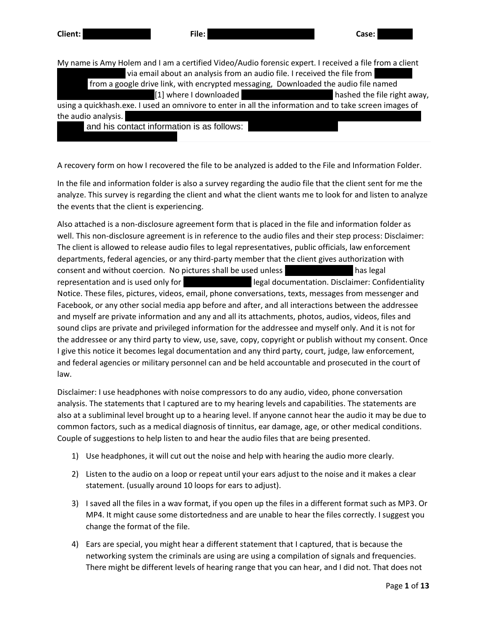| Client:             | File:                                                                                                                                                                              | Case:                       |
|---------------------|------------------------------------------------------------------------------------------------------------------------------------------------------------------------------------|-----------------------------|
|                     | My name is Amy Holem and I am a certified Video/Audio forensic expert. I received a file from a client<br>via email about an analysis from an audio file. I received the file from |                             |
|                     | from a google drive link, with encrypted messaging, Downloaded the audio file named                                                                                                |                             |
|                     | [1] where I downloaded                                                                                                                                                             | hashed the file right away, |
|                     | using a quickhash.exe. I used an omnivore to enter in all the information and to take screen images of                                                                             |                             |
| the audio analysis. |                                                                                                                                                                                    |                             |
|                     | and his contact information is as follows:                                                                                                                                         |                             |

A recovery form on how I recovered the file to be analyzed is added to the File and Information Folder.

In the file and information folder is also a survey regarding the audio file that the client sent for me the analyze. This survey is regarding the client and what the client wants me to look for and listen to analyze the events that the client is experiencing.

Also attached is a non-disclosure agreement form that is placed in the file and information folder as well. This non-disclosure agreement is in reference to the audio files and their step process: Disclaimer: The client is allowed to release audio files to legal representatives, public officials, law enforcement departments, federal agencies, or any third-party member that the client gives authorization with consent and without coercion. No pictures shall be used unless The Timothy E. Cassella has legal representation and is used only for Timothy Timothy E. Cassella documentation. Disclaimer: Confidentiality Notice. These files, pictures, videos, email, phone conversations, texts, messages from messenger and Facebook, or any other social media app before and after, and all interactions between the addressee and myself are private information and any and all its attachments, photos, audios, videos, files and sound clips are private and privileged information for the addressee and myself only. And it is not for the addressee or any third party to view, use, save, copy, copyright or publish without my consent. Once I give this notice it becomes legal documentation and any third party, court, judge, law enforcement, and federal agencies or military personnel can and be held accountable and prosecuted in the court of law.

Disclaimer: I use headphones with noise compressors to do any audio, video, phone conversation analysis. The statements that I captured are to my hearing levels and capabilities. The statements are also at a subliminal level brought up to a hearing level. If anyone cannot hear the audio it may be due to common factors, such as a medical diagnosis of tinnitus, ear damage, age, or other medical conditions. Couple of suggestions to help listen to and hear the audio files that are being presented.

- 1) Use headphones, it will cut out the noise and help with hearing the audio more clearly.
- 2) Listen to the audio on a loop or repeat until your ears adjust to the noise and it makes a clear statement. (usually around 10 loops for ears to adjust).
- 3) I saved all the files in a wav format, if you open up the files in a different format such as MP3. Or MP4. It might cause some distortedness and are unable to hear the files correctly. I suggest you change the format of the file.
- 4) Ears are special, you might hear a different statement that I captured, that is because the networking system the criminals are using are using a compilation of signals and frequencies. There might be different levels of hearing range that you can hear, and I did not. That does not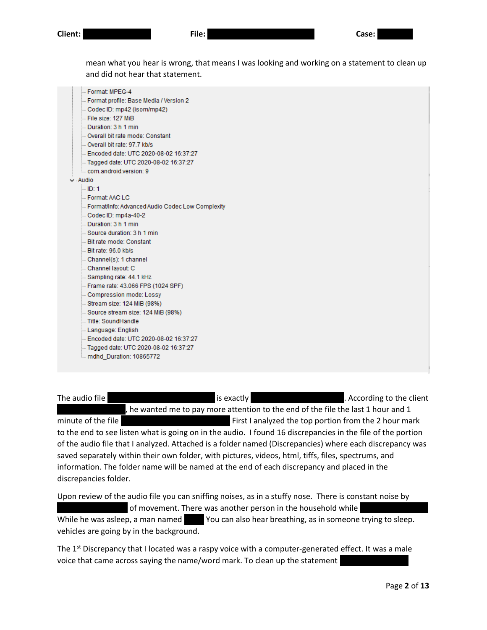mean what you hear is wrong, that means I was looking and working on a statement to clean up and did not hear that statement.

| - Format: MPEG-4                                 |
|--------------------------------------------------|
| Format profile: Base Media / Version 2           |
| Codec ID: mp42 (isom/mp42)                       |
| File size: 127 MiB                               |
| Duration: 3 h 1 min                              |
| Overall bit rate mode: Constant                  |
| Overall bit rate: 97.7 kb/s                      |
| Encoded date: UTC 2020-08-02 16:37:27            |
| Fagged date: UTC 2020-08-02 16:37:27             |
| com android version: 9                           |
| Audio                                            |
| l… ID: 1                                         |
| Format: AAC LC                                   |
| Format/Info: Advanced Audio Codec Low Complexity |
| Codec ID: mp4a-40-2                              |
| Duration: 3 h 1 min                              |
| Source duration: 3 h 1 min                       |
| Bit rate mode: Constant                          |
| Bit rate: 96.0 kb/s                              |
| Channel(s): 1 channel                            |
| Channel layout: C                                |
| Sampling rate: 44.1 kHz                          |
| Frame rate: 43.066 FPS (1024 SPF)                |
| Compression mode: Lossy                          |
| - Stream size: 124 MiB (98%)                     |
| Source stream size: 124 MiB (98%)                |
| Title: SoundHandle                               |
| Language: English                                |
| Encoded date: UTC 2020-08-02 16:37:27            |
| Fagged date: UTC 2020-08-02 16:37:27             |
| mdhd Duration: 10865772                          |

The audio file 2020 2020 2020 2020 2020 2020 is exactly 3 hours and 1 minute long. According to the client , he wanted me to pay more attention to the end of the file the last 1 hour and 1 minute of the file 2020080122012 20200801220142. First I analyzed the top portion from the 2 hour mark to the end to see listen what is going on in the audio. I found 16 discrepancies in the file of the portion of the audio file that I analyzed. Attached is a folder named (Discrepancies) where each discrepancy was saved separately within their own folder, with pictures, videos, html, tiffs, files, spectrums, and information. The folder name will be named at the end of each discrepancy and placed in the discrepancies folder.

Upon review of the audio file you can sniffing noises, as in a stuffy nose. There is constant noise by of movement. There was another person in the household while While he was asleep, a man named You can also hear breathing, as in someone trying to sleep. vehicles are going by in the background.

The  $1<sup>st</sup>$  Discrepancy that I located was a raspy voice with a computer-generated effect. It was a male voice that came across saying the name/word mark. To clean up the statement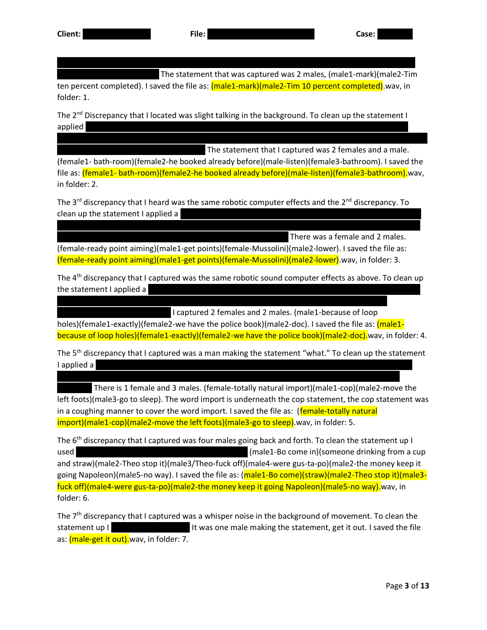The statement that was captured was 2 males, (male1-mark)(male2-Tim

ten percent completed). I saved the file as:  $(male1-mark)(male2-Tim 10 percent completed)$  wav, in folder: 1.

range compressor, then a normalize. I also applied a reverb and an equalizer, another dynamic range

The  $2^{nd}$  Discrepancy that I located was slight talking in the background. To clean up the statement I  ${\sf applied}$  and a normalize. I then a normalize range compressor, then applied a normalize removal wizard from a noise removal wizard from a non-malize removal wizard from a non-malize removal wizard from a non-malize removal

The statement that I captured was 2 females and a male. (female1- bath-room)(female2-he booked already before)(male-listen)(female3-bathroom). I saved the file as: (female1- bath-room)(female2-he booked already before)(male-listen)(female3-bathroom).wav, in folder: 2.

WavePad, I also applied a reverb and an equalizer, then 2 amplifies. The last step to clean the statement

The  $3^{rd}$  discrepancy that I heard was the same robotic computer effects and the  $2^{nd}$  discrepancy. To clean up the statement I applied a

removal wizard from WavePad, I also applied a reverb and an equalizer, then 2 amplifies. The last step

There was a female and 2 males. (female-ready point aiming)(male1-get points)(female-Mussolini)(male2-lower). I saved the file as: (female-ready point aiming)(male1-get points)(female-Mussolini)(male2-lower).wav, in folder: 3.

wizard from WavePad, then applied 2 amplifies. I also applied a reverb then 2 dynamic range

The 4<sup>th</sup> discrepancy that I captured was the same robotic sound computer effects as above. To clean up the statement I applied a

I captured 2 females and 2 males. (male1-because of loop

holes)(female1-exactly)(female2-we have the police book)(male2-doc). I saved the file as: (male1because of loop holes)(female1-exactly)(female2-we have the police book)(male2-doc).wav, in folder: 4.

The 5<sup>th</sup> discrepancy that I captured was a man making the statement "what." To clean up the statement I applied a dynamic range compressor, then a normalize. I then applied a normalize. I then applied a noise removal wizard from a noise removal wizard from a noise removal wizard from a noise removal wizard from a noise rem

WavePad, then applied a reverb. then I applied 2 amplifies, a dynamic range compressor, and an

There is 1 female and 3 males. (female-totally natural import)(male1-cop)(male2-move the left foots)(male3-go to sleep). The word import is underneath the cop statement, the cop statement was in a coughing manner to cover the word import. I saved the file as: (**female-totally natural** import)(male1-cop)(male2-move the left foots)(male3-go to sleep).wav, in folder: 5.

The 6<sup>th</sup> discrepancy that I captured was four males going back and forth. To clean the statement up I used and equalizer and equalizer (male1-Bo come in)(someone drinking from a cup and straw)(male2-Theo stop it)(male3/Theo-fuck off)(male4-were gus-ta-po)(male2-the money keep it going Napoleon)(male5-no way). I saved the file as: (male1-Bo come)(straw)(male2-Theo stop it)(male3fuck off)(male4-were gus-ta-po)(male2-the money keep it going Napoleon)(male5-no way).wav, in folder: 6.

The 7<sup>th</sup> discrepancy that I captured was a whisper noise in the background of movement. To clean the statement up I just amplified it was one male making the statement, get it out. I saved the file as: *(male-get it out)*.wav, in folder: 7.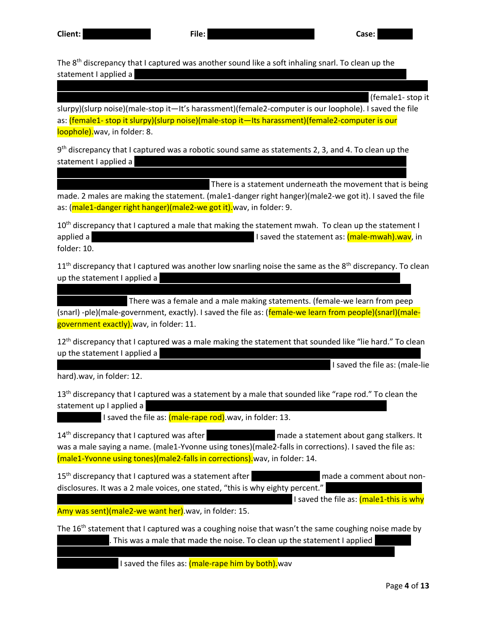The  $8<sup>th</sup>$  discrepancy that I captured was another sound like a soft inhaling snarl. To clean up the statement I applied a

(female1- stop it

slurpy)(slurp noise)(male-stop it—It's harassment)(female2-computer is our loophole). I saved the file as: (female1- stop it slurpy)(slurp noise)(male-stop it—Its harassment)(female2-computer is our loophole).wav, in folder: 8.

wizard from WavePad, then applied a reverb and an amplify. I then applied an equalizer, then a dynamic

9<sup>th</sup> discrepancy that I captured was a robotic sound same as statements 2, 3, and 4. To clean up the statement I applied a

wizard from WavePad, then applied 2 amplifies. I also applied a small speed change to smooth the

There is a statement underneath the movement that is being made. 2 males are making the statement. (male1-danger right hanger)(male2-we got it). I saved the file as: (male1-danger right hanger)(male2-we got it).wav, in folder: 9.

10<sup>th</sup> discrepancy that I captured a male that making the statement mwah. To clean up the statement I applied a dynamic range compressor, then a normalize compressor, then a normalize compressor, then a normalize folder: 10.

 $11<sup>th</sup>$  discrepancy that I captured was another low snarling noise the same as the 8<sup>th</sup> discrepancy. To clean up the statement I applied a

There was a female and a male making statements. (female-we learn from peep (snarl) -ple)(male-government, exactly). I saved the file as: (female-we learn from people)(snarl)(malegovernment exactly). wav, in folder: 11.

removal wizard from WavePad, then applied 2 amplifies. I then applied an equalizer, and 2 dynamic

12<sup>th</sup> discrepancy that I captured was a male making the statement that sounded like "lie hard." To clean up the statement I applied a

I saved the file as: (male-lie

hard).wav, in folder: 12.

13<sup>th</sup> discrepancy that I captured was a statement by a male that sounded like "rape rod." To clean the statement up I applied a

I saved the file as:  $(male-range rod)$ .wav, in folder: 13.

14<sup>th</sup> discrepancy that I captured was after Timothy E. Cassella made a statement about gang stalkers. It was a male saying a name. (male1-Yvonne using tones)(male2-falls in corrections). I saved the file as: (male1-Yvonne using tones)(male2-falls in corrections).wav, in folder: 14.

15<sup>th</sup> discrepancy that I captured was a statement after **Theorem 2. Case in made a comment about non**disclosures. It was a 2 male voices, one stated, "this is why eighty percent."

I saved the file as:  $(male1-this is why)$ 

Amy was sent)(male2-we want her).wav, in folder: 15.

The 16<sup>th</sup> statement that I captured was a coughing noise that wasn't the same coughing noise made by . This was a male that made the noise. To clean up the statement I applied

range compressor, then a normalize. I then applied an amplify then a speed change to slow the

I saved the files as: (male-rape him by both).wav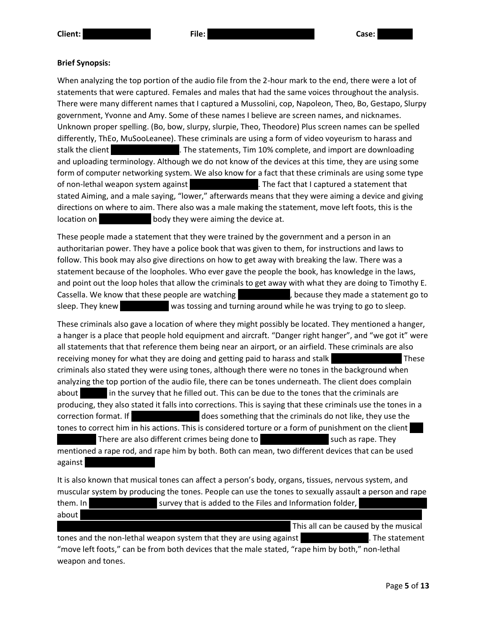## **Brief Synopsis:**

When analyzing the top portion of the audio file from the 2-hour mark to the end, there were a lot of statements that were captured. Females and males that had the same voices throughout the analysis. There were many different names that I captured a Mussolini, cop, Napoleon, Theo, Bo, Gestapo, Slurpy government, Yvonne and Amy. Some of these names I believe are screen names, and nicknames. Unknown proper spelling. (Bo, bow, slurpy, slurpie, Theo, Theodore) Plus screen names can be spelled differently, ThEo, MuSooLeanee). These criminals are using a form of video voyeurism to harass and stalk the client Timothy E. Cassella. The statements, Tim 10% complete, and import are downloading and uploading terminology. Although we do not know of the devices at this time, they are using some form of computer networking system. We also know for a fact that these criminals are using some type of non-lethal weapon system against The fact that I captured a statement that stated Aiming, and a male saying, "lower," afterwards means that they were aiming a device and giving directions on where to aim. There also was a male making the statement, move left foots, this is the location on  $\sim$  body they were aiming the device at.

These people made a statement that they were trained by the government and a person in an authoritarian power. They have a police book that was given to them, for instructions and laws to follow. This book may also give directions on how to get away with breaking the law. There was a statement because of the loopholes. Who ever gave the people the book, has knowledge in the laws, and point out the loop holes that allow the criminals to get away with what they are doing to Timothy E. Cassella. We know that these people are watching Tim E. Cassella, because they made a statement go to sleep. They knew Tim E. Casella was tossing and turning around while he was trying to go to sleep.

These criminals also gave a location of where they might possibly be located. They mentioned a hanger, a hanger is a place that people hold equipment and aircraft. "Danger right hanger", and "we got it" were all statements that that reference them being near an airport, or an airfield. These criminals are also receiving money for what they are doing and getting paid to harass and stalk These criminals also stated they were using tones, although there were no tones in the background when analyzing the top portion of the audio file, there can be tones underneath. The client does complain about in the survey that he filled out. This can be due to the tones that the criminals are producing, they also stated it falls into corrections. This is saying that these criminals use the tones in a correction format. If Timothy E. Cassella does something that the criminals do not like, they use the tones to correct him in his actions. This is considered torture or a form of punishment on the client There are also different crimes being done to The Such as rape. They mentioned a rape rod, and rape him by both. Both can mean, two different devices that can be used against |

It is also known that musical tones can affect a person's body, organs, tissues, nervous system, and muscular system by producing the tones. People can use the tones to sexually assault a person and rape them. In Timothy E. Casset survey that is added to the Files and Information folder, about tiredness, sleep deprivation, feeling of malaise, mental psychosis, mental psychosis, mania, severe itching, burning, burning, burning, burning, burning, burning, burning, burning, burning, burning, burning, burning,

This all can be caused by the musical tones and the non-lethal weapon system that they are using against The Statement E. The statement "move left foots," can be from both devices that the male stated, "rape him by both," non-lethal weapon and tones.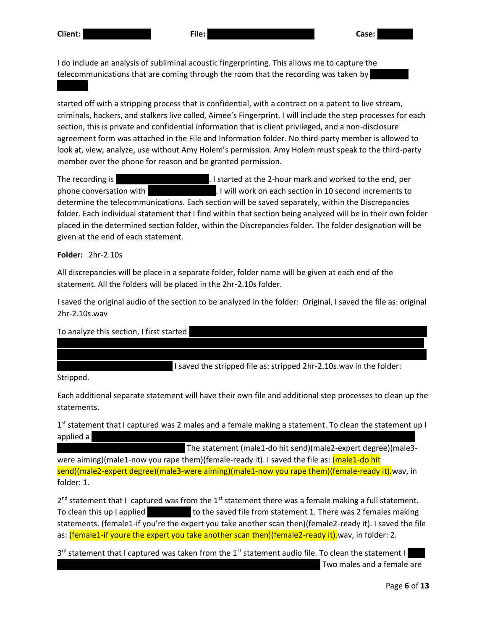I do include an analysis of subliminal acoustic fingerprinting. This allows me to capture the telecommunications that are coming through the room that the recording was taken by

started off with a stripping process that is confidential, with a contract on a patent to live stream, criminals, hackers, and stalkers live called, Aimee's Fingerprint. I will include the step processes for each section, this is private and confidential information that is client privileged, and a non-disclosure agreement form was attached in the File and Information folder. No third-party member is allowed to look at, view, analyze, use without Amy Holem's permission. Amy Holem must speak to the third-party member over the phone for reason and be granted permission.

The recording is 3 hours and 1 minute long. I started at the 2-hour mark and worked to the end, per phone conversation with Timothy E. Cassella. I will work on each section in 10 second increments to determine the telecommunications. Each section will be saved separately, within the Discrepancies folder. Each individual statement that I find within that section being analyzed will be in their own folder placed in the determined section folder, within the Discrepancies folder. The folder designation will be given at the end of each statement.

**Folder:** 2hr-2.10s

All discrepancies will be place in a separate folder, folder name will be given at each end of the statement. All the folders will be placed in the 2hr-2.10s folder.

I saved the original audio of the section to be analyzed in the folder: Original, I saved the file as: original 2hr-2.10s.wav

To analyze this section, I first started was given. I then applied a low pass filter, then a spectral subtraction based on the noise sample. I then amplified 6 times in a row to bring the telecommunications up to an audible level. I then applied a noise I saved the stripped file as: stripped 2hr-2.10s.wav in the folder:

Stripped.

Each additional separate statement will have their own file and additional step processes to clean up the statements.

1<sup>st</sup> statement that I captured was 2 males and a female making a statement. To clean the statement up I  $applied\ a$  reverses and two dynamic range compressors. I then applied a small speed a small speed as material speed as material speed as material speed as material speed as material speed as material speed as material speed a

The statement (male1-do hit send)(male2-expert degree)(male3were aiming)(male1-now you rape them)(female-ready it). I saved the file as: (male1-do hit send)(male2-expert degree)(male3-were aiming)(male1-now you rape them)(female-ready it).wav, in folder: 1.

 $2^{nd}$  statement that I captured was from the 1<sup>st</sup> statement there was a female making a full statement. To clean this up I applied **and the saved file from statement 1.** There was 2 females making statements. (female1-if you're the expert you take another scan then)(female2-ready it). I saved the file as: (female1-if youre the expert you take another scan then)(female2-ready it). wav, in folder: 2.

3<sup>rd</sup> statement that I captured was taken from the 1<sup>st</sup> statement audio file. To clean the statement I Two males and a female are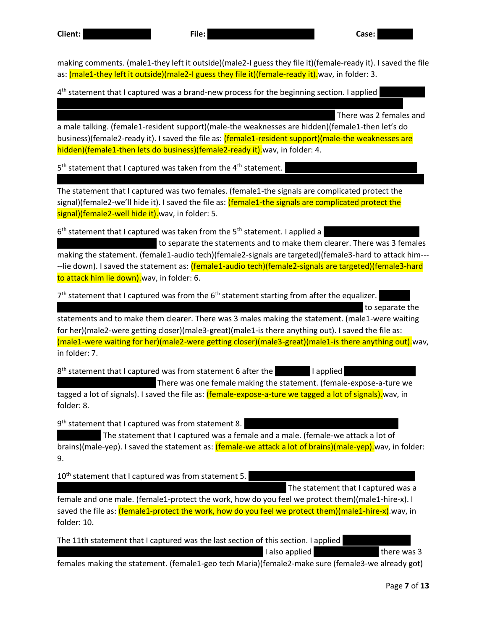**Client:** Timothy E. Cassella **File:** 20200801\_220142\_Normal[1] **Case:** 20200805

making comments. (male1-they left it outside)(male2-I guess they file it)(female-ready it). I saved the file as: (male1-they left it outside)(male2-I guess they file it)(female-ready it). wav, in folder: 3.

4<sup>th</sup> statement that I captured was a brand-new process for the beginning section. I applied

There was 2 females and

a male talking. (female1-resident support)(male-the weaknesses are hidden)(female1-then let's do business)(female2-ready it). I saved the file as: (female1-resident support)(male-the weaknesses are hidden)(female1-then lets do business)(female2-ready it).wav, in folder: 4.

along with a second equalizer. I then applied an amplify, and 3 dynamic range compressors. I also

5<sup>th</sup> statement that I captured was taken from the 4<sup>th</sup> statement.

The statement that I captured was two females. (female1-the signals are complicated protect the signal)(female2-we'll hide it). I saved the file as: (female1-the signals are complicated protect the signal)(female2-well hide it).wav, in folder: 5.

6<sup>th</sup> statement that I captured was taken from the 5<sup>th</sup> statement. I applied a

to separate the statements and to make them clearer. There was 3 females making the statement. (female1-audio tech)(female2-signals are targeted)(female3-hard to attack him--- --lie down). I saved the statement as: (female1-audio tech)(female2-signals are targeted)(female3-hard to attack him lie down).wav, in folder: 6.

 $7<sup>th</sup>$  statement that I captured was from the 6<sup>th</sup> statement starting from after the equalizer.

to separate the

statements and to make them clearer. There was 3 males making the statement. (male1-were waiting for her)(male2-were getting closer)(male3-great)(male1-is there anything out). I saved the file as: (male1-were waiting for her)(male2-were getting closer)(male3-great)(male1-is there anything out).wav, in folder: 7.

8<sup>th</sup> statement that I captured was from statement 6 after the **Example 1** applied

There was one female making the statement. (female-expose-a-ture we tagged a lot of signals). I saved the file as: *(female-expose-a-ture we tagged a lot of signals)*, wav, in folder: 8.

9<sup>th</sup> statement that I captured was from statement 8.

The statement that I captured was a female and a male. (female-we attack a lot of brains)(male-yep). I saved the statement as: (female-we attack a lot of brains)(male-yep). wav, in folder: 9.

10<sup>th</sup> statement that I captured was from statement 5.

The statement that I captured was a

female and one male. (female1-protect the work, how do you feel we protect them)(male1-hire-x). I saved the file as: (female1-protect the work, how do you feel we protect them)(male1-hire-x) wav, in folder: 10.

The 11th statement that I captured was the last section of this section. I applied I also applied a reverse compressor. I also applied a comprehensive comprehensive comprehensive comprehensive comprehensive comprehensive comprehensive comprehensive comprehensive comprehensive comprehensive comprehensive

females making the statement. (female1-geo tech Maria)(female2-make sure (female3-we already got)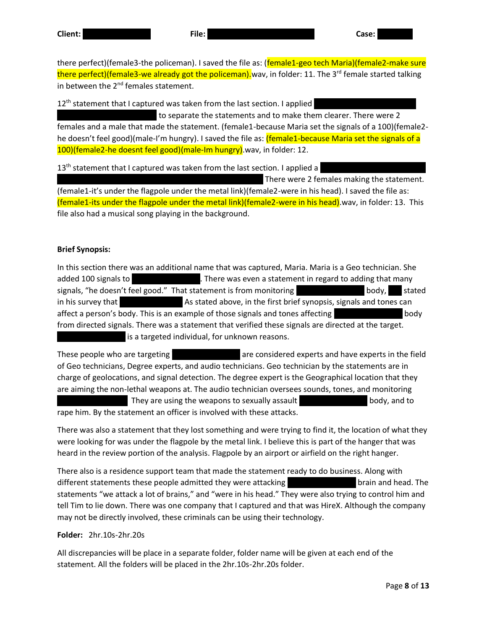there perfect)(female3-the policeman). I saved the file as: (female1-geo tech Maria)(female2-make sure there perfect)(female3-we already got the policeman). wav, in folder: 11. The 3<sup>rd</sup> female started talking in between the 2<sup>nd</sup> females statement.

12<sup>th</sup> statement that I captured was taken from the last section. I applied to separate the statements and to make them clearer. There were 2 females and a male that made the statement. (female1-because Maria set the signals of a 100)(female2 he doesn't feel good)(male-I'm hungry). I saved the file as: (female1-because Maria set the signals of a 100)(female2-he doesnt feel good)(male-Im hungry).wav, in folder: 12.

13<sup>th</sup> statement that I captured was taken from the last section. I applied a There were 2 females making the statement. (female1-it's under the flagpole under the metal link)(female2-were in his head). I saved the file as:

(female1-its under the flagpole under the metal link)(female2-were in his head).wav, in folder: 13. This file also had a musical song playing in the background.

# **Brief Synopsis:**

In this section there was an additional name that was captured, Maria. Maria is a Geo technician. She added 100 signals to There was even a statement in regard to adding that many signals, "he doesn't feel good." That statement is from monitoring Theorem Theody, That stated in his survey that **he was natus natus as stated above**, in the first brief synopsis, signals and tones can affect a person's body. This is an example of those signals and tones affecting body body from directed signals. There was a statement that verified these signals are directed at the target. is a targeted individual, for unknown reasons.

These people who are targeting These is are considered experts and have experts in the field of Geo technicians, Degree experts, and audio technicians. Geo technician by the statements are in charge of geolocations, and signal detection. The degree expert is the Geographical location that they are aiming the non-lethal weapons at. The audio technician oversees sounds, tones, and monitoring

They are using the weapons to sexually assault They are using the weapons to sexually assault rape him. By the statement an officer is involved with these attacks.

There was also a statement that they lost something and were trying to find it, the location of what they were looking for was under the flagpole by the metal link. I believe this is part of the hanger that was heard in the review portion of the analysis. Flagpole by an airport or airfield on the right hanger.

There also is a residence support team that made the statement ready to do business. Along with different statements these people admitted they were attacking Timothy E. Cassella brain and head. The statements "we attack a lot of brains," and "were in his head." They were also trying to control him and tell Tim to lie down. There was one company that I captured and that was HireX. Although the company may not be directly involved, these criminals can be using their technology.

## **Folder:** 2hr.10s-2hr.20s

All discrepancies will be place in a separate folder, folder name will be given at each end of the statement. All the folders will be placed in the 2hr.10s-2hr.20s folder.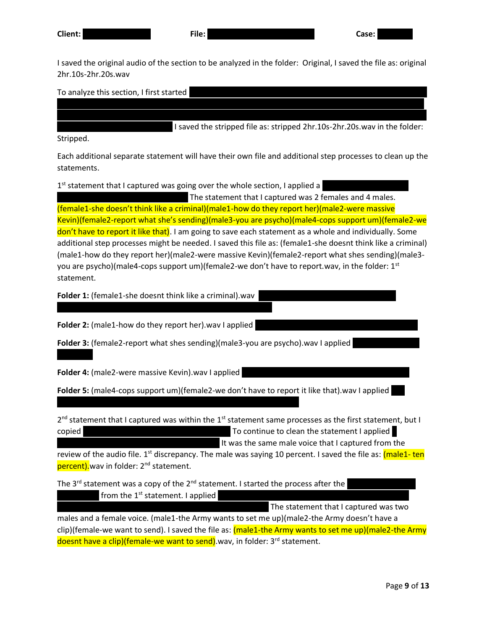I saved the original audio of the section to be analyzed in the folder: Original, I saved the file as: original 2hr.10s-2hr.20s.wav

was given. I then applied a low pass filter, then a spectral subtraction based on the noise sample. I then amplified 5 times in a row to bring the telecommunications up to an audible level. I then applied a noise

To analyze this section, I first started

I saved the stripped file as: stripped 2hr.10s-2hr.20s.wav in the folder:

Stripped.

Each additional separate statement will have their own file and additional step processes to clean up the statements.

1<sup>st</sup> statement that I captured was going over the whole section, I applied a

The statement that I captured was 2 females and 4 males. (female1-she doesn't think like a criminal)(male1-how do they report her)(male2-were massive Kevin)(female2-report what she's sending)(male3-you are psycho)(male4-cops support um)(female2-we don't have to report it like that). I am going to save each statement as a whole and individually. Some additional step processes might be needed. I saved this file as: (female1-she doesnt think like a criminal) (male1-how do they report her)(male2-were massive Kevin)(female2-report what shes sending)(male3 you are psycho)(male4-cops support um)(female2-we don't have to report.wav, in the folder:  $1^{st}$ statement.

**Folder 1:** (female1-she doesnt think like a criminal).wav

**Folder 2:** (male1-how do they report her).wav I applied

**Folder 3:** (female2-report what shes sending)(male3-you are psycho).wav I applied

**Folder 4:** (male2-were massive Kevin).wav I applied

**Folder 5:** (male4-cops support um)(female2-we don't have to report it like that).wav I applied

2<sup>nd</sup> statement that I captured was within the 1<sup>st</sup> statement same processes as the first statement, but I copied and first dynamic range compressor. To continue to clean the statement I applied

It was the same male voice that I captured from the

review of the audio file. 1<sup>st</sup> discrepancy. The male was saying 10 percent. I saved the file as: <mark>(male1- ten</mark> percent).wav in folder: 2<sup>nd</sup> statement.

The  $3^{rd}$  statement was a copy of the  $2^{nd}$  statement. I started the process after the from the 1<sup>st</sup> statement. I applied

The statement that I captured was two

males and a female voice. (male1-the Army wants to set me up)(male2-the Army doesn't have a clip)(female-we want to send). I saved the file as: (male1-the Army wants to set me up)(male2-the Army doesnt have a clip)(female-we want to send). wav, in folder: 3<sup>rd</sup> statement.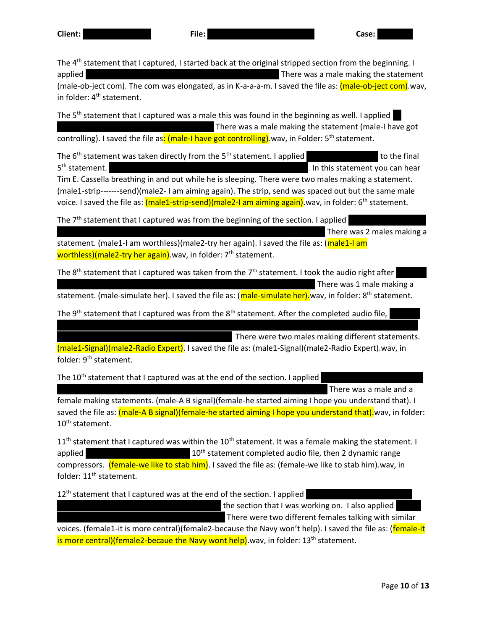The 4<sup>th</sup> statement that I captured, I started back at the original stripped section from the beginning. I applied and a reverse a reverse a reverse reverse then a reverse and amplified the statement and statement and  $\sum_{i=1}^{n}$ (male-ob-ject com). The com was elongated, as in K-a-a-a-m. I saved the file as: (male-ob-ject com).wav, in folder:  $4<sup>th</sup>$  statement.

The  $5<sup>th</sup>$  statement that I captured was a male this was found in the beginning as well. I applied There was a male making the statement (male-I have got controlling). I saved the file as: (male-I have got controlling) wav, in Folder: 5<sup>th</sup> statement.

The  $6<sup>th</sup>$  statement was taken directly from the  $5<sup>th</sup>$  statement. I applied and an additional reversion to the final 5<sup>th</sup> statement. . In this statement you can hear Tim E. Cassella breathing in and out while he is sleeping. There were two males making a statement. (male1-strip-------send)(male2- I am aiming again). The strip, send was spaced out but the same male voice. I saved the file as: (male1-strip-send)(male2-I am aiming again).wav, in folder: 6<sup>th</sup> statement.

The  $7<sup>th</sup>$  statement that I captured was from the beginning of the section. I applied There was 2 males making a

statement. (male1-I am worthless)(male2-try her again). I saved the file as: (male1-I am worthless)(male2-try her again).wav, in folder: 7<sup>th</sup> statement.

The 8<sup>th</sup> statement that I captured was taken from the 7<sup>th</sup> statement. I took the audio right after There was 1 male making a

statement. (male-simulate her). I saved the file as: (male-simulate her).wav, in folder: 8<sup>th</sup> statement.

The 9<sup>th</sup> statement that I captured was from the 8<sup>th</sup> statement. After the completed audio file,

There were two males making different statements.

(male1-Signal)(male2-Radio Expert). I saved the file as: (male1-Signal)(male2-Radio Expert).wav, in folder: 9<sup>th</sup> statement.

an additional reverb, then an equalizer and a dynamic range compressor. I then applied a small speed

The 10<sup>th</sup> statement that I captured was at the end of the section. I applied

There was a male and a

female making statements. (male-A B signal)(female-he started aiming I hope you understand that). I saved the file as: (male-A B signal)(female-he started aiming I hope you understand that).wav, in folder: 10<sup>th</sup> statement.

 $11<sup>th</sup>$  statement that I captured was within the  $10<sup>th</sup>$  statement. It was a female making the statement. I applied and allow the 10<sup>th</sup> statement completed audio file, then 2 dynamic range compressors. (**female-we like to stab him)**. I saved the file as: (female-we like to stab him).wav, in folder: 11<sup>th</sup> statement.

12<sup>th</sup> statement that I captured was at the end of the section. I applied

the section that I was working on. I also applied There were two different females talking with similar

voices. (female1-it is more central)(female2-because the Navy won't help). I saved the file as: (female-it is more central)(female2-becaue the Navy wont help) way, in folder:  $13<sup>th</sup>$  statement.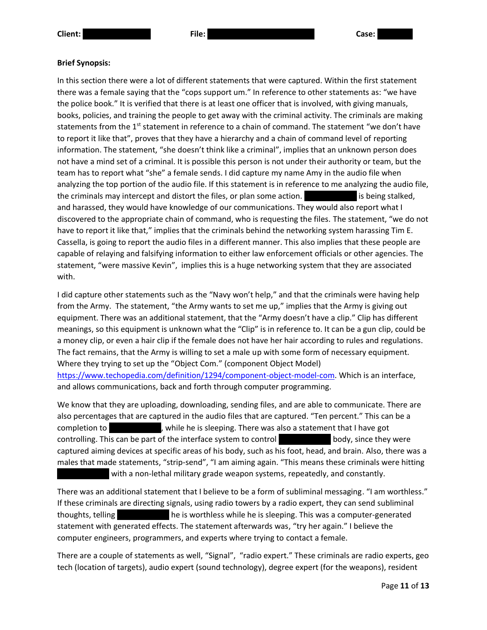## **Brief Synopsis:**

In this section there were a lot of different statements that were captured. Within the first statement there was a female saying that the "cops support um." In reference to other statements as: "we have the police book." It is verified that there is at least one officer that is involved, with giving manuals, books, policies, and training the people to get away with the criminal activity. The criminals are making statements from the 1<sup>st</sup> statement in reference to a chain of command. The statement "we don't have to report it like that", proves that they have a hierarchy and a chain of command level of reporting information. The statement, "she doesn't think like a criminal", implies that an unknown person does not have a mind set of a criminal. It is possible this person is not under their authority or team, but the team has to report what "she" a female sends. I did capture my name Amy in the audio file when analyzing the top portion of the audio file. If this statement is in reference to me analyzing the audio file, the criminals may intercept and distort the files, or plan some action. The rim E. Cassella is being stalked, and harassed, they would have knowledge of our communications. They would also report what I discovered to the appropriate chain of command, who is requesting the files. The statement, "we do not have to report it like that," implies that the criminals behind the networking system harassing Tim E. Cassella, is going to report the audio files in a different manner. This also implies that these people are capable of relaying and falsifying information to either law enforcement officials or other agencies. The statement, "were massive Kevin", implies this is a huge networking system that they are associated with.

I did capture other statements such as the "Navy won't help," and that the criminals were having help from the Army. The statement, "the Army wants to set me up," implies that the Army is giving out equipment. There was an additional statement, that the "Army doesn't have a clip." Clip has different meanings, so this equipment is unknown what the "Clip" is in reference to. It can be a gun clip, could be a money clip, or even a hair clip if the female does not have her hair according to rules and regulations. The fact remains, that the Army is willing to set a male up with some form of necessary equipment. Where they trying to set up the "Object Com." (component Object Model) [https://www.techopedia.com/definition/1294/component-object-model-com.](https://www.techopedia.com/definition/1294/component-object-model-com) Which is an interface, and allows communications, back and forth through computer programming.

We know that they are uploading, downloading, sending files, and are able to communicate. There are also percentages that are captured in the audio files that are captured. "Ten percent." This can be a completion to Tim E. Cassella, while he is sleeping. There was also a statement that I have got controlling. This can be part of the interface system to control **The E. Cassella body**, since they were captured aiming devices at specific areas of his body, such as his foot, head, and brain. Also, there was a males that made statements, "strip-send", "I am aiming again. "This means these criminals were hitting with a non-lethal military grade weapon systems, repeatedly, and constantly.

There was an additional statement that I believe to be a form of subliminal messaging. "I am worthless." If these criminals are directing signals, using radio towers by a radio expert, they can send subliminal thoughts, telling Time Tim E. Cassella he is worthless while he is sleeping. This was a computer-generated statement with generated effects. The statement afterwards was, "try her again." I believe the computer engineers, programmers, and experts where trying to contact a female.

There are a couple of statements as well, "Signal", "radio expert." These criminals are radio experts, geo tech (location of targets), audio expert (sound technology), degree expert (for the weapons), resident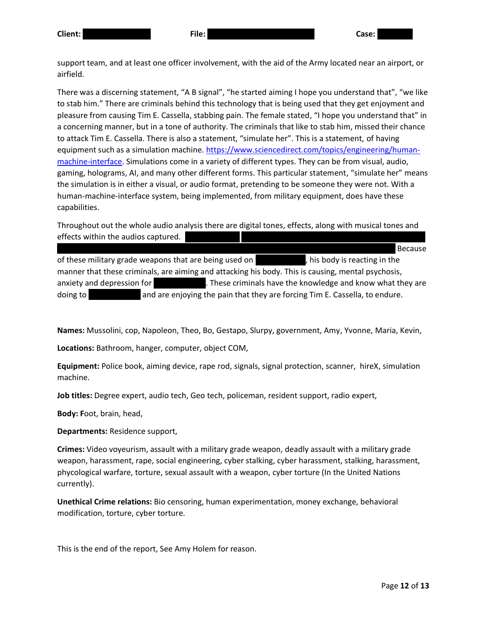support team, and at least one officer involvement, with the aid of the Army located near an airport, or airfield.

There was a discerning statement, "A B signal", "he started aiming I hope you understand that", "we like to stab him." There are criminals behind this technology that is being used that they get enjoyment and pleasure from causing Tim E. Cassella, stabbing pain. The female stated, "I hope you understand that" in a concerning manner, but in a tone of authority. The criminals that like to stab him, missed their chance to attack Tim E. Cassella. There is also a statement, "simulate her". This is a statement, of having equipment such as a simulation machine. [https://www.sciencedirect.com/topics/engineering/human](https://www.sciencedirect.com/topics/engineering/human-machine-interface)[machine-interface.](https://www.sciencedirect.com/topics/engineering/human-machine-interface) Simulations come in a variety of different types. They can be from visual, audio, gaming, holograms, AI, and many other different forms. This particular statement, "simulate her" means the simulation is in either a visual, or audio format, pretending to be someone they were not. With a human-machine-interface system, being implemented, from military equipment, does have these capabilities.

Throughout out the whole audio analysis there are digital tones, effects, along with musical tones and effects within the audios captured.

damage, muscle spassma, sleep deprivation, chest pains, second pains, second burning sensation, and burning se of these military grade weapons that are being used on Tim E Cassella, his body is reacting in the manner that these criminals, are aiming and attacking his body. This is causing, mental psychosis, anxiety and depression for Time E. These criminals have the knowledge and know what they are doing to **Tim E. Cassella** and are enjoying the pain that they are forcing Tim E. Cassella, to endure.

**Names:** Mussolini, cop, Napoleon, Theo, Bo, Gestapo, Slurpy, government, Amy, Yvonne, Maria, Kevin,

**Locations:** Bathroom, hanger, computer, object COM,

**Equipment:** Police book, aiming device, rape rod, signals, signal protection, scanner, hireX, simulation machine.

**Job titles:** Degree expert, audio tech, Geo tech, policeman, resident support, radio expert,

**Body: F**oot, brain, head,

**Departments:** Residence support,

**Crimes:** Video voyeurism, assault with a military grade weapon, deadly assault with a military grade weapon, harassment, rape, social engineering, cyber stalking, cyber harassment, stalking, harassment, phycological warfare, torture, sexual assault with a weapon, cyber torture (In the United Nations currently).

**Unethical Crime relations:** Bio censoring, human experimentation, money exchange, behavioral modification, torture, cyber torture.

This is the end of the report, See Amy Holem for reason.